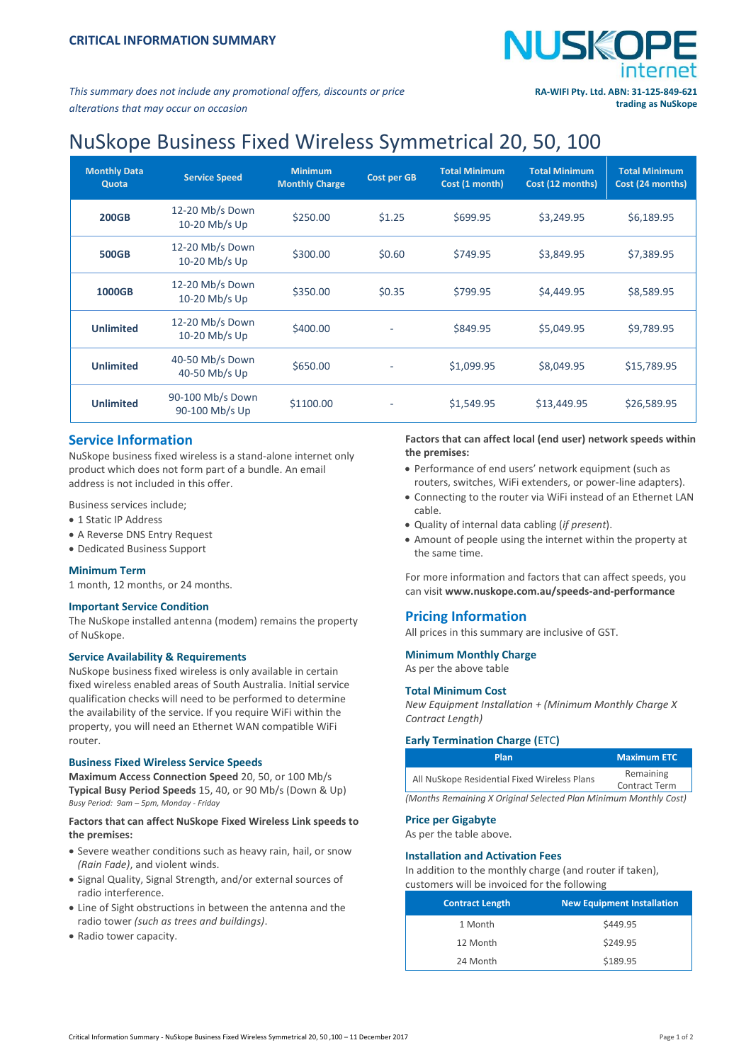

*This summary does not include any promotional offers, discounts or price alterations that may occur on occasion*

# NuSkope Business Fixed Wireless Symmetrical 20, 50, 100

| <b>Monthly Data</b><br>Quota | <b>Service Speed</b>               | <b>Minimum</b><br><b>Monthly Charge</b> | <b>Cost per GB</b> | <b>Total Minimum</b><br>Cost (1 month) | <b>Total Minimum</b><br>Cost (12 months) | <b>Total Minimum</b><br>Cost (24 months) |
|------------------------------|------------------------------------|-----------------------------------------|--------------------|----------------------------------------|------------------------------------------|------------------------------------------|
| <b>200GB</b>                 | 12-20 Mb/s Down<br>10-20 Mb/s Up   | \$250.00                                | \$1.25             | \$699.95                               | \$3,249.95                               | \$6,189.95                               |
| <b>500GB</b>                 | 12-20 Mb/s Down<br>10-20 Mb/s Up   | \$300.00                                | \$0.60             | \$749.95                               | \$3,849.95                               | \$7,389.95                               |
| 1000GB                       | 12-20 Mb/s Down<br>10-20 Mb/s Up   | \$350.00                                | \$0.35             | \$799.95                               | \$4,449.95                               | \$8,589.95                               |
| <b>Unlimited</b>             | 12-20 Mb/s Down<br>10-20 Mb/s Up   | \$400.00                                | ٠                  | \$849.95                               | \$5,049.95                               | \$9,789.95                               |
| <b>Unlimited</b>             | 40-50 Mb/s Down<br>40-50 Mb/s Up   | \$650.00                                |                    | \$1,099.95                             | \$8,049.95                               | \$15,789.95                              |
| <b>Unlimited</b>             | 90-100 Mb/s Down<br>90-100 Mb/s Up | \$1100.00                               |                    | \$1,549.95                             | \$13,449.95                              | \$26,589.95                              |

## **Service Information**

NuSkope business fixed wireless is a stand-alone internet only product which does not form part of a bundle. An email address is not included in this offer.

Business services include;

- 1 Static IP Address
- A Reverse DNS Entry Request
- Dedicated Business Support

#### **Minimum Term**

1 month, 12 months, or 24 months.

#### **Important Service Condition**

The NuSkope installed antenna (modem) remains the property of NuSkope.

#### **Service Availability & Requirements**

NuSkope business fixed wireless is only available in certain fixed wireless enabled areas of South Australia. Initial service qualification checks will need to be performed to determine the availability of the service. If you require WiFi within the property, you will need an Ethernet WAN compatible WiFi router.

#### **Business Fixed Wireless Service Speeds**

**Maximum Access Connection Speed** 20, 50, or 100 Mb/s **Typical Busy Period Speeds** 15, 40, or 90 Mb/s (Down & Up) *Busy Period: 9am – 5pm, Monday - Friday*

#### **Factors that can affect NuSkope Fixed Wireless Link speeds to the premises:**

- Severe weather conditions such as heavy rain, hail, or snow *(Rain Fade)*, and violent winds.
- Signal Quality, Signal Strength, and/or external sources of radio interference.
- Line of Sight obstructions in between the antenna and the radio tower *(such as trees and buildings)*.
- Radio tower capacity.

### **Factors that can affect local (end user) network speeds within the premises:**

- Performance of end users' network equipment (such as routers, switches, WiFi extenders, or power-line adapters).
- Connecting to the router via WiFi instead of an Ethernet LAN cable.
- Quality of internal data cabling (*if present*).
- Amount of people using the internet within the property at the same time.

For more information and factors that can affect speeds, you can visit **[www.nuskope.com.au/speeds-and-performance](http://www.nuskope.com.au/speeds-and-performance)**

## **Pricing Information**

All prices in this summary are inclusive of GST.

#### **Minimum Monthly Charge**

As per the above table

#### **Total Minimum Cost**

*New Equipment Installation + (Minimum Monthly Charge X Contract Length)*

#### **Early Termination Charge (**ETC**)**

| Plan                                                             | <b>Maximum ETC</b>   |  |
|------------------------------------------------------------------|----------------------|--|
| All NuSkope Residential Fixed Wireless Plans                     | Remaining            |  |
|                                                                  | <b>Contract Term</b> |  |
| (Manthe Ramaining V Original Coloctod Dlan Minimum Manthly Cost) |                      |  |

*(Months Remaining X Original Selected Plan Minimum Monthly Cost)*

#### **Price per Gigabyte**

As per the table above.

#### **Installation and Activation Fees**

In addition to the monthly charge (and router if taken), customers will be invoiced for the following

| <b>Contract Length</b> | <b>New Equipment Installation</b> |
|------------------------|-----------------------------------|
| 1 Month                | \$449.95                          |
| 12 Month               | \$249.95                          |
| 24 Month               | \$189.95                          |